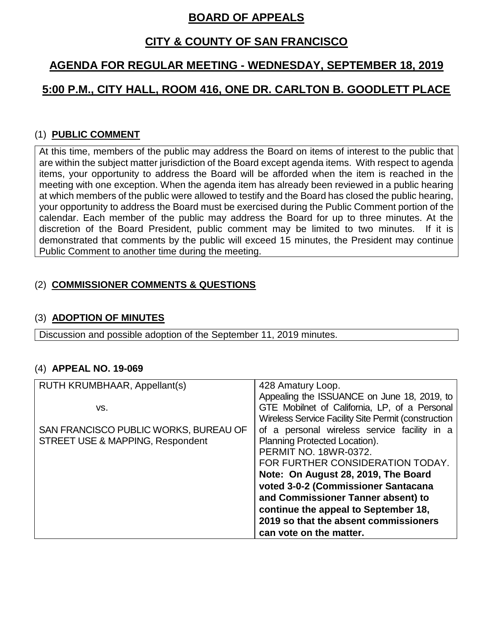## **BOARD OF APPEALS**

## **CITY & COUNTY OF SAN FRANCISCO**

# **AGENDA FOR REGULAR MEETING - WEDNESDAY, SEPTEMBER 18, 2019**

# **5:00 P.M., CITY HALL, ROOM 416, ONE DR. CARLTON B. GOODLETT PLACE**

### (1) **PUBLIC COMMENT**

At this time, members of the public may address the Board on items of interest to the public that are within the subject matter jurisdiction of the Board except agenda items. With respect to agenda items, your opportunity to address the Board will be afforded when the item is reached in the meeting with one exception. When the agenda item has already been reviewed in a public hearing at which members of the public were allowed to testify and the Board has closed the public hearing, your opportunity to address the Board must be exercised during the Public Comment portion of the calendar. Each member of the public may address the Board for up to three minutes. At the discretion of the Board President, public comment may be limited to two minutes. If it is demonstrated that comments by the public will exceed 15 minutes, the President may continue Public Comment to another time during the meeting.

### (2) **COMMISSIONER COMMENTS & QUESTIONS**

#### (3) **ADOPTION OF MINUTES**

Discussion and possible adoption of the September 11, 2019 minutes.

#### (4) **APPEAL NO. 19-069**

| RUTH KRUMBHAAR, Appellant(s)          | 428 Amatury Loop.                                   |
|---------------------------------------|-----------------------------------------------------|
|                                       | Appealing the ISSUANCE on June 18, 2019, to         |
| VS.                                   | GTE Mobilnet of California, LP, of a Personal       |
|                                       | Wireless Service Facility Site Permit (construction |
| SAN FRANCISCO PUBLIC WORKS, BUREAU OF | of a personal wireless service facility in a        |
| STREET USE & MAPPING, Respondent      | Planning Protected Location).                       |
|                                       | <b>PERMIT NO. 18WR-0372.</b>                        |
|                                       | FOR FURTHER CONSIDERATION TODAY.                    |
|                                       | Note: On August 28, 2019, The Board                 |
|                                       | voted 3-0-2 (Commissioner Santacana                 |
|                                       | and Commissioner Tanner absent) to                  |
|                                       | continue the appeal to September 18,                |
|                                       | 2019 so that the absent commissioners               |
|                                       | can vote on the matter.                             |
|                                       |                                                     |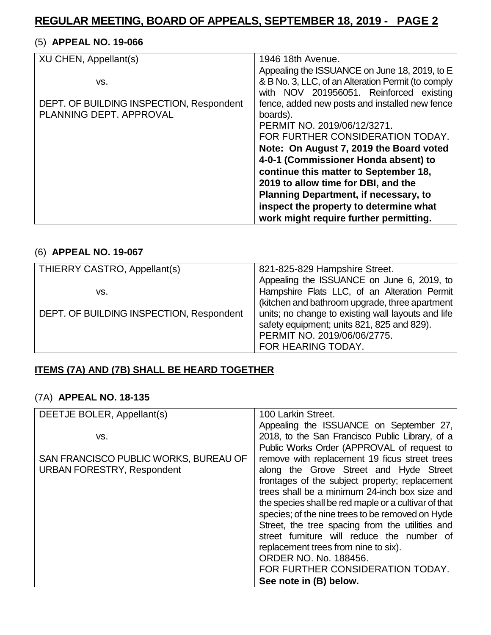### (5) **APPEAL NO. 19-066**

| XU CHEN, Appellant(s)                    | 1946 18th Avenue.                                  |
|------------------------------------------|----------------------------------------------------|
|                                          | Appealing the ISSUANCE on June 18, 2019, to E      |
| VS.                                      | & B No. 3, LLC, of an Alteration Permit (to comply |
|                                          | with NOV 201956051. Reinforced existing            |
| DEPT. OF BUILDING INSPECTION, Respondent | fence, added new posts and installed new fence     |
| PLANNING DEPT, APPROVAL                  | boards).                                           |
|                                          | PERMIT NO. 2019/06/12/3271.                        |
|                                          | FOR FURTHER CONSIDERATION TODAY.                   |
|                                          | Note: On August 7, 2019 the Board voted            |
|                                          | 4-0-1 (Commissioner Honda absent) to               |
|                                          | continue this matter to September 18,              |
|                                          | 2019 to allow time for DBI, and the                |
|                                          | <b>Planning Department, if necessary, to</b>       |
|                                          | inspect the property to determine what             |
|                                          |                                                    |
|                                          | work might require further permitting.             |

### (6) **APPEAL NO. 19-067**

| THIERRY CASTRO, Appellant(s)             | 821-825-829 Hampshire Street.                                                                                                   |
|------------------------------------------|---------------------------------------------------------------------------------------------------------------------------------|
| vs.                                      | Appealing the ISSUANCE on June 6, 2019, to<br>Hampshire Flats LLC, of an Alteration Permit                                      |
|                                          | (kitchen and bathroom upgrade, three apartment                                                                                  |
| DEPT. OF BUILDING INSPECTION, Respondent | units; no change to existing wall layouts and life<br>safety equipment; units 821, 825 and 829).<br>PERMIT NO. 2019/06/06/2775. |
|                                          | FOR HEARING TODAY.                                                                                                              |

### **ITEMS (7A) AND (7B) SHALL BE HEARD TOGETHER**

#### (7A) **APPEAL NO. 18-135**

| DEETJE BOLER, Appellant(s)            | 100 Larkin Street.                                   |
|---------------------------------------|------------------------------------------------------|
|                                       | Appealing the ISSUANCE on September 27,              |
| VS.                                   | 2018, to the San Francisco Public Library, of a      |
|                                       | Public Works Order (APPROVAL of request to           |
| SAN FRANCISCO PUBLIC WORKS, BUREAU OF | remove with replacement 19 ficus street trees        |
| <b>URBAN FORESTRY, Respondent</b>     | along the Grove Street and Hyde Street               |
|                                       | frontages of the subject property; replacement       |
|                                       | trees shall be a minimum 24-inch box size and        |
|                                       | the species shall be red maple or a cultivar of that |
|                                       | species; of the nine trees to be removed on Hyde     |
|                                       | Street, the tree spacing from the utilities and      |
|                                       | street furniture will reduce the number of           |
|                                       | replacement trees from nine to six).                 |
|                                       | <b>ORDER NO. No. 188456.</b>                         |
|                                       | FOR FURTHER CONSIDERATION TODAY.                     |
|                                       | See note in (B) below.                               |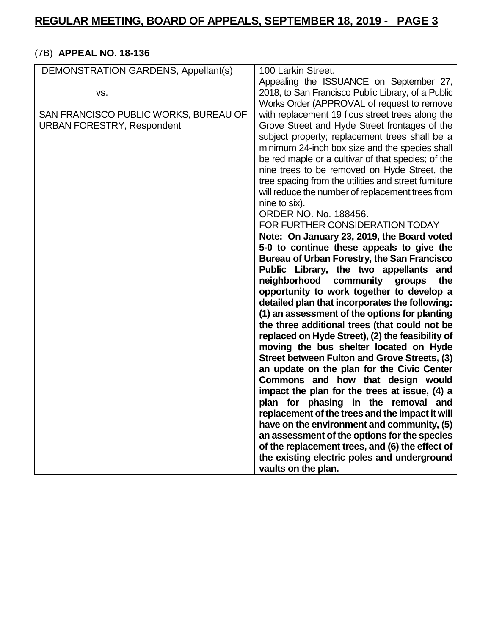## (7B) **APPEAL NO. 18-136**

| Appealing the ISSUANCE on September 27,<br>2018, to San Francisco Public Library, of a Public<br>VS.<br>Works Order (APPROVAL of request to remove<br>SAN FRANCISCO PUBLIC WORKS, BUREAU OF<br>with replacement 19 ficus street trees along the<br><b>URBAN FORESTRY, Respondent</b><br>Grove Street and Hyde Street frontages of the<br>subject property; replacement trees shall be a |
|-----------------------------------------------------------------------------------------------------------------------------------------------------------------------------------------------------------------------------------------------------------------------------------------------------------------------------------------------------------------------------------------|
|                                                                                                                                                                                                                                                                                                                                                                                         |
|                                                                                                                                                                                                                                                                                                                                                                                         |
|                                                                                                                                                                                                                                                                                                                                                                                         |
|                                                                                                                                                                                                                                                                                                                                                                                         |
|                                                                                                                                                                                                                                                                                                                                                                                         |
|                                                                                                                                                                                                                                                                                                                                                                                         |
| minimum 24-inch box size and the species shall                                                                                                                                                                                                                                                                                                                                          |
| be red maple or a cultivar of that species; of the                                                                                                                                                                                                                                                                                                                                      |
| nine trees to be removed on Hyde Street, the                                                                                                                                                                                                                                                                                                                                            |
| tree spacing from the utilities and street furniture                                                                                                                                                                                                                                                                                                                                    |
| will reduce the number of replacement trees from                                                                                                                                                                                                                                                                                                                                        |
| nine to six).                                                                                                                                                                                                                                                                                                                                                                           |
| ORDER NO. No. 188456.                                                                                                                                                                                                                                                                                                                                                                   |
| FOR FURTHER CONSIDERATION TODAY                                                                                                                                                                                                                                                                                                                                                         |
| Note: On January 23, 2019, the Board voted                                                                                                                                                                                                                                                                                                                                              |
| 5-0 to continue these appeals to give the                                                                                                                                                                                                                                                                                                                                               |
| Bureau of Urban Forestry, the San Francisco                                                                                                                                                                                                                                                                                                                                             |
| Public Library, the two appellants and                                                                                                                                                                                                                                                                                                                                                  |
| neighborhood<br>community groups<br>the                                                                                                                                                                                                                                                                                                                                                 |
| opportunity to work together to develop a                                                                                                                                                                                                                                                                                                                                               |
| detailed plan that incorporates the following:                                                                                                                                                                                                                                                                                                                                          |
| (1) an assessment of the options for planting                                                                                                                                                                                                                                                                                                                                           |
|                                                                                                                                                                                                                                                                                                                                                                                         |
| the three additional trees (that could not be                                                                                                                                                                                                                                                                                                                                           |
| replaced on Hyde Street), (2) the feasibility of                                                                                                                                                                                                                                                                                                                                        |
| moving the bus shelter located on Hyde                                                                                                                                                                                                                                                                                                                                                  |
| Street between Fulton and Grove Streets, (3)                                                                                                                                                                                                                                                                                                                                            |
| an update on the plan for the Civic Center                                                                                                                                                                                                                                                                                                                                              |
| Commons and how that design would                                                                                                                                                                                                                                                                                                                                                       |
| impact the plan for the trees at issue, (4) a                                                                                                                                                                                                                                                                                                                                           |
| plan for phasing in the removal and                                                                                                                                                                                                                                                                                                                                                     |
| replacement of the trees and the impact it will                                                                                                                                                                                                                                                                                                                                         |
| have on the environment and community, (5)                                                                                                                                                                                                                                                                                                                                              |
| an assessment of the options for the species                                                                                                                                                                                                                                                                                                                                            |
| of the replacement trees, and (6) the effect of                                                                                                                                                                                                                                                                                                                                         |
| the existing electric poles and underground                                                                                                                                                                                                                                                                                                                                             |
| vaults on the plan.                                                                                                                                                                                                                                                                                                                                                                     |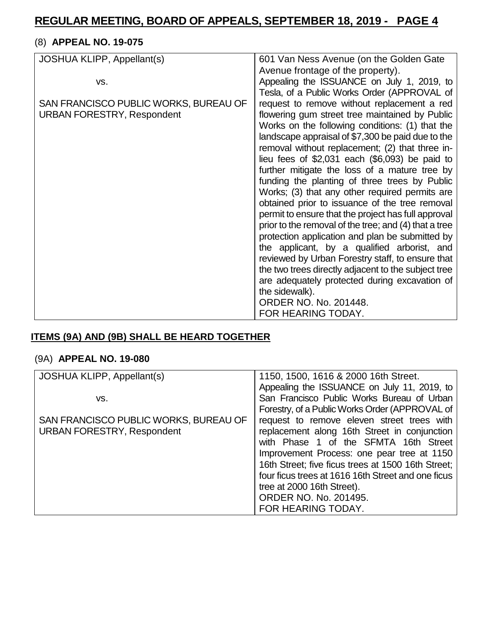## (8) **APPEAL NO. 19-075**

| JOSHUA KLIPP, Appellant(s)            | 601 Van Ness Avenue (on the Golden Gate               |
|---------------------------------------|-------------------------------------------------------|
|                                       | Avenue frontage of the property).                     |
| VS.                                   | Appealing the ISSUANCE on July 1, 2019, to            |
|                                       | Tesla, of a Public Works Order (APPROVAL of           |
| SAN FRANCISCO PUBLIC WORKS, BUREAU OF | request to remove without replacement a red           |
| <b>URBAN FORESTRY, Respondent</b>     | flowering gum street tree maintained by Public        |
|                                       | Works on the following conditions: (1) that the       |
|                                       | landscape appraisal of \$7,300 be paid due to the     |
|                                       | removal without replacement; (2) that three in-       |
|                                       | lieu fees of $$2,031$ each $($6,093)$ be paid to      |
|                                       | further mitigate the loss of a mature tree by         |
|                                       | funding the planting of three trees by Public         |
|                                       | Works; (3) that any other required permits are        |
|                                       | obtained prior to issuance of the tree removal        |
|                                       | permit to ensure that the project has full approval   |
|                                       | prior to the removal of the tree; and (4) that a tree |
|                                       | protection application and plan be submitted by       |
|                                       | the applicant, by a qualified arborist, and           |
|                                       | reviewed by Urban Forestry staff, to ensure that      |
|                                       | the two trees directly adjacent to the subject tree   |
|                                       | are adequately protected during excavation of         |
|                                       | the sidewalk).                                        |
|                                       | ORDER NO. No. 201448.                                 |
|                                       | FOR HEARING TODAY.                                    |

## **ITEMS (9A) AND (9B) SHALL BE HEARD TOGETHER**

### (9A) **APPEAL NO. 19-080**

| JOSHUA KLIPP, Appellant(s)            | 1150, 1500, 1616 & 2000 16th Street.               |
|---------------------------------------|----------------------------------------------------|
|                                       | Appealing the ISSUANCE on July 11, 2019, to        |
| VS.                                   | San Francisco Public Works Bureau of Urban         |
|                                       | Forestry, of a Public Works Order (APPROVAL of     |
| SAN FRANCISCO PUBLIC WORKS, BUREAU OF | request to remove eleven street trees with         |
| <b>URBAN FORESTRY, Respondent</b>     | replacement along 16th Street in conjunction       |
|                                       | with Phase 1 of the SFMTA 16th Street              |
|                                       | Improvement Process: one pear tree at 1150         |
|                                       | 16th Street; five ficus trees at 1500 16th Street; |
|                                       | four ficus trees at 1616 16th Street and one ficus |
|                                       | tree at 2000 16th Street).                         |
|                                       | ORDER NO. No. 201495.                              |
|                                       | FOR HEARING TODAY.                                 |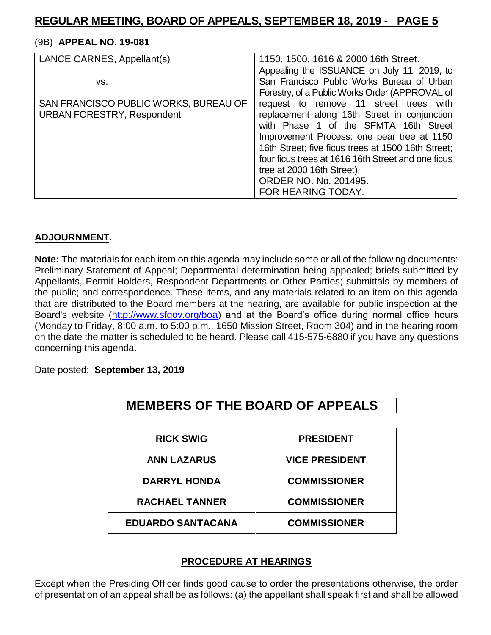#### (9B) **APPEAL NO. 19-081**

| LANCE CARNES, Appellant(s)            | 1150, 1500, 1616 & 2000 16th Street.               |
|---------------------------------------|----------------------------------------------------|
|                                       | Appealing the ISSUANCE on July 11, 2019, to        |
| VS.                                   | San Francisco Public Works Bureau of Urban         |
|                                       | Forestry, of a Public Works Order (APPROVAL of     |
| SAN FRANCISCO PUBLIC WORKS, BUREAU OF | request to remove 11 street trees with             |
| <b>URBAN FORESTRY, Respondent</b>     | replacement along 16th Street in conjunction       |
|                                       | with Phase 1 of the SFMTA 16th Street              |
|                                       | Improvement Process: one pear tree at 1150         |
|                                       | 16th Street; five ficus trees at 1500 16th Street; |
|                                       | four ficus trees at 1616 16th Street and one ficus |
|                                       | tree at 2000 16th Street).                         |
|                                       | ORDER NO. No. 201495.                              |
|                                       | FOR HEARING TODAY.                                 |

#### **ADJOURNMENT.**

**Note:** The materials for each item on this agenda may include some or all of the following documents: Preliminary Statement of Appeal; Departmental determination being appealed; briefs submitted by Appellants, Permit Holders, Respondent Departments or Other Parties; submittals by members of the public; and correspondence. These items, and any materials related to an item on this agenda that are distributed to the Board members at the hearing, are available for public inspection at the Board's website [\(http://www.sfgov.org/boa\)](http://www.sfgov.org/boa) and at the Board's office during normal office hours (Monday to Friday, 8:00 a.m. to 5:00 p.m., 1650 Mission Street, Room 304) and in the hearing room on the date the matter is scheduled to be heard. Please call 415-575-6880 if you have any questions concerning this agenda.

Date posted: **September 13, 2019**

| <b>RICK SWIG</b>         | <b>PRESIDENT</b>      |
|--------------------------|-----------------------|
| <b>ANN LAZARUS</b>       | <b>VICE PRESIDENT</b> |
| <b>DARRYL HONDA</b>      | <b>COMMISSIONER</b>   |
| <b>RACHAEL TANNER</b>    | <b>COMMISSIONER</b>   |
| <b>EDUARDO SANTACANA</b> | <b>COMMISSIONER</b>   |

**MEMBERS OF THE BOARD OF APPEALS**

#### **PROCEDURE AT HEARINGS**

Except when the Presiding Officer finds good cause to order the presentations otherwise, the order of presentation of an appeal shall be as follows: (a) the appellant shall speak first and shall be allowed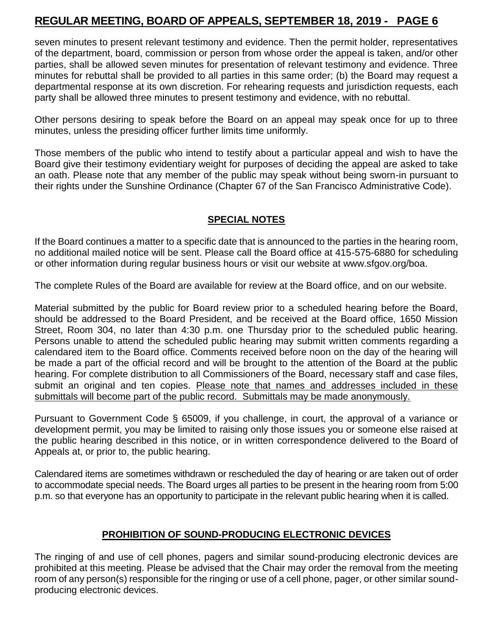seven minutes to present relevant testimony and evidence. Then the permit holder, representatives of the department, board, commission or person from whose order the appeal is taken, and/or other parties, shall be allowed seven minutes for presentation of relevant testimony and evidence. Three minutes for rebuttal shall be provided to all parties in this same order; (b) the Board may request a departmental response at its own discretion. For rehearing requests and jurisdiction requests, each party shall be allowed three minutes to present testimony and evidence, with no rebuttal.

Other persons desiring to speak before the Board on an appeal may speak once for up to three minutes, unless the presiding officer further limits time uniformly.

Those members of the public who intend to testify about a particular appeal and wish to have the Board give their testimony evidentiary weight for purposes of deciding the appeal are asked to take an oath. Please note that any member of the public may speak without being sworn-in pursuant to their rights under the Sunshine Ordinance (Chapter 67 of the San Francisco Administrative Code).

### **SPECIAL NOTES**

If the Board continues a matter to a specific date that is announced to the parties in the hearing room, no additional mailed notice will be sent. Please call the Board office at 415-575-6880 for scheduling or other information during regular business hours or visit our website at [www.sfgov.org/boa.](http://www.sfgov.org/boa)

The complete Rules of the Board are available for review at the Board office, and on our website.

Material submitted by the public for Board review prior to a scheduled hearing before the Board, should be addressed to the Board President, and be received at the Board office, 1650 Mission Street, Room 304, no later than 4:30 p.m. one Thursday prior to the scheduled public hearing. Persons unable to attend the scheduled public hearing may submit written comments regarding a calendared item to the Board office. Comments received before noon on the day of the hearing will be made a part of the official record and will be brought to the attention of the Board at the public hearing. For complete distribution to all Commissioners of the Board, necessary staff and case files, submit an original and ten copies. Please note that names and addresses included in these submittals will become part of the public record. Submittals may be made anonymously.

Pursuant to Government Code § 65009, if you challenge, in court, the approval of a variance or development permit, you may be limited to raising only those issues you or someone else raised at the public hearing described in this notice, or in written correspondence delivered to the Board of Appeals at, or prior to, the public hearing.

Calendared items are sometimes withdrawn or rescheduled the day of hearing or are taken out of order to accommodate special needs. The Board urges all parties to be present in the hearing room from 5:00 p.m. so that everyone has an opportunity to participate in the relevant public hearing when it is called.

#### **PROHIBITION OF SOUND-PRODUCING ELECTRONIC DEVICES**

The ringing of and use of cell phones, pagers and similar sound-producing electronic devices are prohibited at this meeting. Please be advised that the Chair may order the removal from the meeting room of any person(s) responsible for the ringing or use of a cell phone, pager, or other similar soundproducing electronic devices.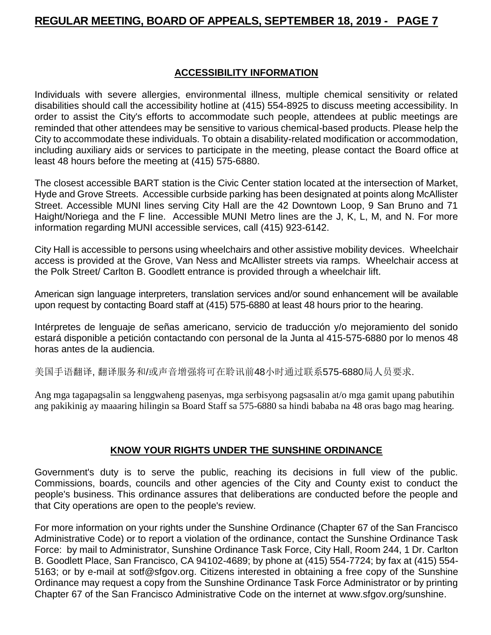### **ACCESSIBILITY INFORMATION**

Individuals with severe allergies, environmental illness, multiple chemical sensitivity or related disabilities should call the accessibility hotline at (415) 554-8925 to discuss meeting accessibility. In order to assist the City's efforts to accommodate such people, attendees at public meetings are reminded that other attendees may be sensitive to various chemical-based products. Please help the City to accommodate these individuals. To obtain a disability-related modification or accommodation, including auxiliary aids or services to participate in the meeting, please contact the Board office at least 48 hours before the meeting at (415) 575-6880.

The closest accessible BART station is the Civic Center station located at the intersection of Market, Hyde and Grove Streets. Accessible curbside parking has been designated at points along McAllister Street. Accessible MUNI lines serving City Hall are the 42 Downtown Loop, 9 San Bruno and 71 Haight/Noriega and the F line. Accessible MUNI Metro lines are the J, K, L, M, and N. For more information regarding MUNI accessible services, call (415) 923-6142.

City Hall is accessible to persons using wheelchairs and other assistive mobility devices. Wheelchair access is provided at the Grove, Van Ness and McAllister streets via ramps. Wheelchair access at the Polk Street/ Carlton B. Goodlett entrance is provided through a wheelchair lift.

American sign language interpreters, translation services and/or sound enhancement will be available upon request by contacting Board staff at (415) 575-6880 at least 48 hours prior to the hearing.

Intérpretes de lenguaje de señas americano, servicio de traducción y/o mejoramiento del sonido estará disponible a petición contactando con personal de la Junta al 415-575-6880 por lo menos 48 horas antes de la audiencia.

美国手语翻译, 翻译服务和/或声音增强将可在聆讯前48小时通过联系575-6880局人员要求.

Ang mga tagapagsalin sa lenggwaheng pasenyas, mga serbisyong pagsasalin at/o mga gamit upang pabutihin ang pakikinig ay maaaring hilingin sa Board Staff sa 575-6880 sa hindi bababa na 48 oras bago mag hearing.

#### **KNOW YOUR RIGHTS UNDER THE SUNSHINE ORDINANCE**

Government's duty is to serve the public, reaching its decisions in full view of the public. Commissions, boards, councils and other agencies of the City and County exist to conduct the people's business. This ordinance assures that deliberations are conducted before the people and that City operations are open to the people's review.

For more information on your rights under the Sunshine Ordinance (Chapter 67 of the San Francisco Administrative Code) or to report a violation of the ordinance, contact the Sunshine Ordinance Task Force: by mail to Administrator, Sunshine Ordinance Task Force, City Hall, Room 244, 1 Dr. Carlton B. Goodlett Place, San Francisco, CA 94102-4689; by phone at (415) 554-7724; by fax at (415) 554- 5163; or by e-mail at [sotf@sfgov.org.](mailto:sotf@sfgov.org) Citizens interested in obtaining a free copy of the Sunshine Ordinance may request a copy from the Sunshine Ordinance Task Force Administrator or by printing Chapter 67 of the San Francisco Administrative Code on the internet at [www.sfgov.org/sunshine.](http://www.sfgov.org/sunshine)